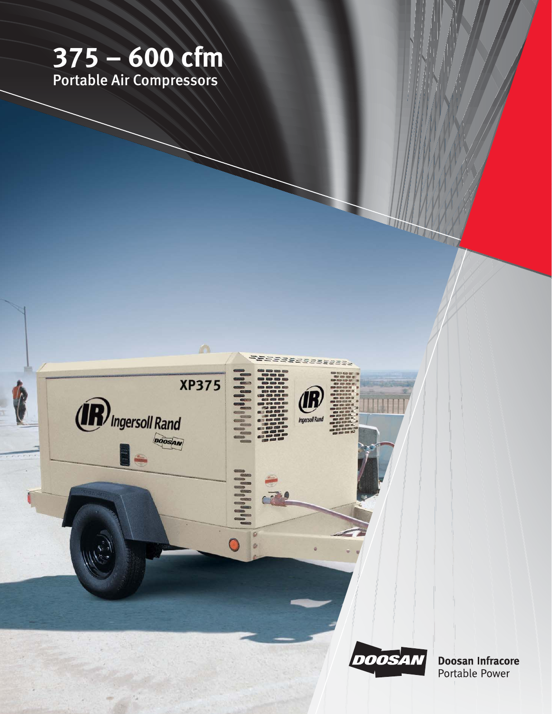# $375 - 600$  cfm<br>Portable Air Compressors



**Doosan Infracore** Portable Power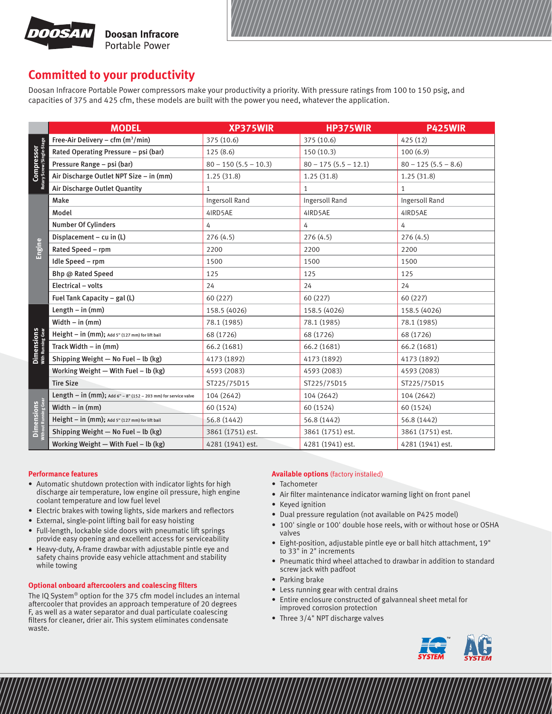

## **Committed to your productivity**

Doosan Infracore Portable Power compressors make your productivity a priority. With pressure ratings from 100 to 150 psig, and capacities of 375 and 425 cfm, these models are built with the power you need, whatever the application.

|                                                | <b>MODEL</b>                                                   | XP375WIR               | <b>HP375WIR</b>        | <b>P425WIR</b>        |
|------------------------------------------------|----------------------------------------------------------------|------------------------|------------------------|-----------------------|
| <b>Compressor</b><br>Rotary Screw/Single-Stage | Free-Air Delivery – cfm $(m^3/min)$                            | 375 (10.6)             | 375 (10.6)             | 425 (12)              |
|                                                | Rated Operating Pressure - psi (bar)                           | 125(8.6)               | 150(10.3)              | 100(6.9)              |
|                                                | Pressure Range - psi (bar)                                     | $80 - 150(5.5 - 10.3)$ | $80 - 175(5.5 - 12.1)$ | $80 - 125(5.5 - 8.6)$ |
|                                                | Air Discharge Outlet NPT Size - in (mm)                        | 1.25(31.8)             | 1.25(31.8)             | 1.25(31.8)            |
|                                                | Air Discharge Outlet Quantity                                  | $\mathbf{1}$           | $\mathbf{1}$           | 1                     |
| Engine                                         | Make                                                           | Ingersoll Rand         | Ingersoll Rand         | Ingersoll Rand        |
|                                                | Model                                                          | 4IRD5AE                | 4IRD5AE                | 4IRD5AE               |
|                                                | <b>Number Of Cylinders</b>                                     | 4                      | 4                      | 4                     |
|                                                | Displacement - cu in (L)                                       | 276(4.5)               | 276(4.5)               | 276(4.5)              |
|                                                | Rated Speed - rpm                                              | 2200                   | 2200                   | 2200                  |
|                                                | Idle Speed - rpm                                               | 1500                   | 1500                   | 1500                  |
|                                                | Bhp @ Rated Speed                                              | 125                    | 125                    | 125                   |
|                                                | Electrical - volts                                             | 24                     | 24                     | 24                    |
|                                                | Fuel Tank Capacity - gal (L)                                   | 60 (227)               | 60 (227)               | 60 (227)              |
| <b>Dimensions</b><br>With Running Gear         | Length $-$ in (mm)                                             | 158.5 (4026)           | 158.5 (4026)           | 158.5 (4026)          |
|                                                | Width $-$ in (mm)                                              | 78.1 (1985)            | 78.1 (1985)            | 78.1 (1985)           |
|                                                | Height - in (mm); Add 5" (127 mm) for lift bail                | 68 (1726)              | 68 (1726)              | 68 (1726)             |
|                                                | Track Width $-$ in (mm)                                        | 66.2 (1681)            | 66.2 (1681)            | 66.2 (1681)           |
|                                                | Shipping Weight - No Fuel - lb (kg)                            | 4173 (1892)            | 4173 (1892)            | 4173 (1892)           |
|                                                | Working Weight $-$ With Fuel $-$ lb (kg)                       | 4593 (2083)            | 4593 (2083)            | 4593 (2083)           |
|                                                | <b>Tire Size</b>                                               | ST225/75D15            | ST225/75D15            | ST225/75D15           |
| <b>Dimensions</b><br>Without Running Gear      | Length - in (mm); Add 6" - 8" (152 - 203 mm) for service valve | 104 (2642)             | 104 (2642)             | 104 (2642)            |
|                                                | Width $-$ in (mm)                                              | 60 (1524)              | 60 (1524)              | 60 (1524)             |
|                                                | Height - in (mm); Add 5" (127 mm) for lift bail                | 56.8 (1442)            | 56.8 (1442)            | 56.8 (1442)           |
|                                                | Shipping Weight - No Fuel - lb (kg)                            | 3861 (1751) est.       | 3861 (1751) est.       | 3861 (1751) est.      |
|                                                | Working Weight $-$ With Fuel $-$ lb (kg)                       | 4281 (1941) est.       | 4281 (1941) est.       | 4281 (1941) est.      |

## **Performance features**

- Automatic shutdown protection with indicator lights for high discharge air temperature, low engine oil pressure, high engine coolant temperature and low fuel level
- Electric brakes with towing lights, side markers and reflectors
- External, single-point lifting bail for easy hoisting
- Full-length, lockable side doors with pneumatic lift springs provide easy opening and excellent access for serviceability
- Heavy-duty, A-frame drawbar with adjustable pintle eye and safety chains provide easy vehicle attachment and stability while towing

## **Optional onboard aftercoolers and coalescing filters**

The IQ System® option for the 375 cfm model includes an internal aftercooler that provides an approach temperature of 20 degrees F, as well as a water separator and dual particulate coalescing filters for cleaner, drier air. This system eliminates condensate waste.

## **Available options** (factory installed)

- Tachometer
- Air filter maintenance indicator warning light on front panel
- Keyed ignition
- Dual pressure regulation (not available on P425 model)
- 100' single or 100' double hose reels, with or without hose or OSHA valves
- Eight-position, adjustable pintle eye or ball hitch attachment, 19" to 33" in 2" increments
- Pneumatic third wheel attached to drawbar in addition to standard screw jack with padfoot
- Parking brake
- Less running gear with central drains
- Entire enclosure constructed of galvanneal sheet metal for improved corrosion protection
- Three 3/4" NPT discharge valves

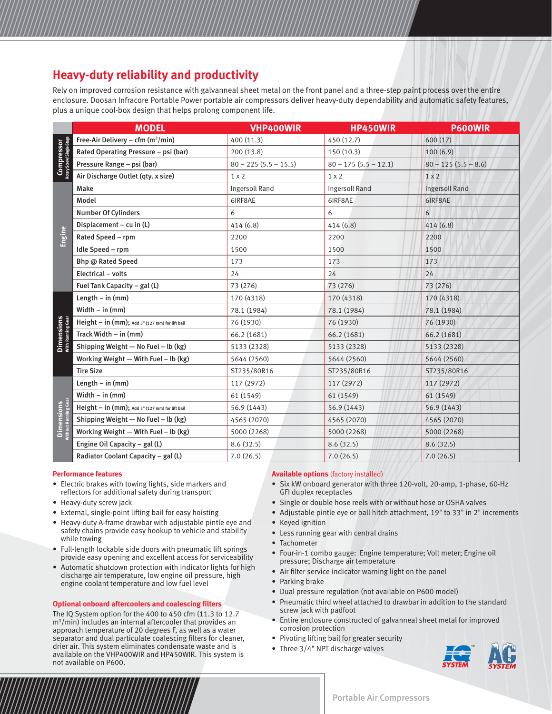# **Heavy-duty reliability and productivity**

Rely on improved corrosion resistance with galvanneal sheet metal on the front panel and a three-step paint process over the entire enclosure. Doosan Infracore Portable Power portable air compressors deliver heavy-duty dependability and automatic safety features, plus a unique cool-box design that helps prolong component life.

|                                           | <b>MODEL</b>                                    | <b>VHP400WIR</b>       | <b>HP450WIR</b>        | <b>P600WIR</b>        |
|-------------------------------------------|-------------------------------------------------|------------------------|------------------------|-----------------------|
| Compressor<br>Rotary Screw/Single-Stage   | Free-Air Delivery – cfm $(m^3/min)$             | 400 (11.3)             | 450 (12.7)             | 600(17)               |
|                                           | Rated Operating Pressure - psi (bar)            | 200 (13.8)             | 150(10.3)              | 100(6.9)              |
|                                           | Pressure Range - psi (bar)                      | $80 - 225(5.5 - 15.5)$ | $80 - 175(5.5 - 12.1)$ | $80 - 125(5.5 - 8.6)$ |
|                                           | Air Discharge Outlet (qty. x size)              | $1 \times 2$           | $1 \times 2$           | $1 \times 2$          |
| Engine                                    | Make                                            | Ingersoll Rand         | Ingersoll Rand         | <b>Ingersoll Rand</b> |
|                                           | Model                                           | 6IRF8AE                | 6IRF8AE                | 6IRF8AE               |
|                                           | <b>Number Of Cylinders</b>                      | 6                      | 6                      | 6                     |
|                                           | Displacement - cu in (L)                        | 414(6.8)               | 414(6.8)               | 414 (6.8)             |
|                                           | Rated Speed - rpm                               | 2200                   | 2200                   | 2200                  |
|                                           | Idle Speed - rpm                                | 1500                   | 1500                   | 1500                  |
|                                           | Bhp @ Rated Speed                               | 173                    | 173                    | 173                   |
|                                           | Electrical - volts                              | 24                     | 24                     | 24                    |
|                                           | Fuel Tank Capacity - gal (L)                    | 73 (276)               | 73 (276)               | 73 (276)              |
|                                           | Length $-$ in (mm)                              | 170 (4318)             | 170 (4318)             | 170 (4318)            |
|                                           | Width $-$ in (mm)                               | 78.1 (1984)            | 78.1 (1984)            | 78.1 (1984)           |
|                                           | Height - in (mm); Add 5" (127 mm) for lift bail | 76 (1930)              | 76 (1930)              | 76 (1930)             |
| <b>Dimensions</b><br>With Running Gear    | Track Width $-$ in (mm)                         | 66.2 (1681)            | 66.2 (1681)            | 66.2 (1681)           |
|                                           | Shipping Weight - No Fuel - lb (kg)             | 5133 (2328)            | 5133 (2328)            | 5133 (2328)           |
|                                           | Working Weight $-$ With Fuel $-$ lb (kg)        | 5644 (2560)            | 5644 (2560)            | 5644 (2560)           |
|                                           | <b>Tire Size</b>                                | ST235/80R16            | ST235/80R16            | ST235/80R16           |
| <b>Dimensions</b><br>Without Running Gear | Length $-$ in (mm)                              | 117 (2972)             | 117 (2972)             | 117 (2972)            |
|                                           | Width $-$ in $(mm)$                             | 61 (1549)              | 61 (1549)              | 61 (1549)             |
|                                           | Height - in (mm); Add 5" (127 mm) for lift bail | 56.9 (1443)            | 56.9 (1443)            | 56.9 (1443)           |
|                                           | Shipping Weight - No Fuel - lb (kg)             | 4565 (2070)            | 4565 (2070)            | 4565 (2070)           |
|                                           | Working Weight $-$ With Fuel $-$ lb (kg)        | 5000 (2268)            | 5000 (2268)            | 5000 (2268)           |
|                                           | Engine Oil Capacity $-$ gal (L)                 | 8.6(32.5)              | 8.6(32.5)              | 8.6(32.5)             |
|                                           | Radiator Coolant Capacity - gal (L)             | 7.0(26.5)              | 7.0(26.5)              | 7.0(26.5)             |

## **Performance features**

- Electric brakes with towing lights, side markers and reflectors for additional safety during transport
- Heavy-duty screw jack
- External, single-point lifting bail for easy hoisting
- Heavy-duty A-frame drawbar with adjustable pintle eye and safety chains provide easy hookup to vehicle and stability while towing
- Full-length lockable side doors with pneumatic lift springs provide easy opening and excellent access for serviceability
- Automatic shutdown protection with indicator lights for high discharge air temperature, low engine oil pressure, high engine coolant temperature and low fuel level

## **Optional onboard aftercoolers and coalescing filters**

The IQ System option for the 400 to 450 cfm (11.3 to 12.7 m3 /min) includes an internal aftercooler that provides an approach temperature of 20 degrees F, as well as a water separator and dual particulate coalescing filters for cleaner, drier air. This system eliminates condensate waste and is available on the VHP400WIR and HP450WIR. This system is not available on P600.

## **Available options** (factory installed)

- Six kW onboard generator with three 120-volt, 20-amp, 1-phase, 60-Hz GFI duplex receptacles
- Single or double hose reels with or without hose or OSHA valves
- Adjustable pintle eye or ball hitch attachment, 19" to 33" in 2" increments
- Keyed ignition
- Less running gear with central drains
- Tachometer
- Four-in-1 combo gauge: Engine temperature; Volt meter; Engine oil pressure; Discharge air temperature
- Air filter service indicator warning light on the panel
- Parking brake
- Dual pressure regulation (not available on P600 model)
- Pneumatic third wheel attached to drawbar in addition to the standard screw jack with padfoot
- Entire enclosure constructed of galvanneal sheet metal for improved corrosion protection
- Pivoting lifting bail for greater security
- Three 3/4" NPT discharge valves